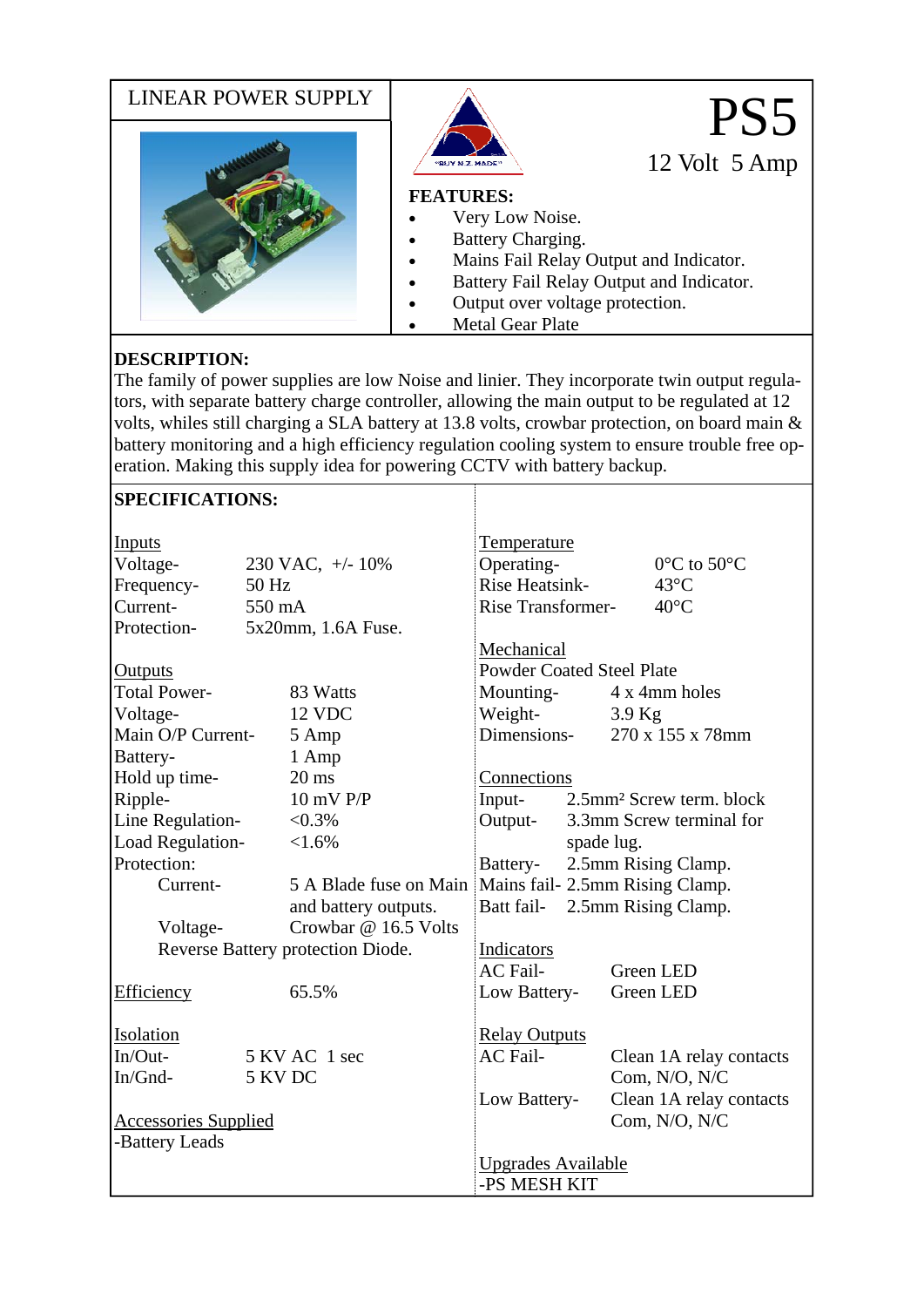

## **DESCRIPTION:**

The family of power supplies are low Noise and linier. They incorporate twin output regulators, with separate battery charge controller, allowing the main output to be regulated at 12 volts, whiles still charging a SLA battery at 13.8 volts, crowbar protection, on board main & battery monitoring and a high efficiency regulation cooling system to ensure trouble free operation. Making this supply idea for powering CCTV with battery backup.

| <b>SPECIFICATIONS:</b>            |                     |                                                        |                                  |  |          |                                      |  |
|-----------------------------------|---------------------|--------------------------------------------------------|----------------------------------|--|----------|--------------------------------------|--|
| Inputs                            |                     |                                                        | <b>Temperature</b>               |  |          |                                      |  |
| Voltage-                          | 230 VAC, $+/- 10\%$ |                                                        | Operating-                       |  |          | $0^{\circ}$ C to 50 $^{\circ}$ C     |  |
| Frequency-                        | 50 Hz               |                                                        | Rise Heatsink-                   |  |          | $43^{\circ}$ C                       |  |
| Current-                          | 550 mA              |                                                        | Rise Transformer-                |  |          | $40^{\circ}$ C                       |  |
| Protection-                       | 5x20mm, 1.6A Fuse.  |                                                        |                                  |  |          |                                      |  |
|                                   |                     |                                                        | Mechanical                       |  |          |                                      |  |
| <b>Outputs</b>                    |                     |                                                        | <b>Powder Coated Steel Plate</b> |  |          |                                      |  |
| <b>Total Power-</b>               |                     | 83 Watts                                               | Mounting-                        |  |          | 4 x 4mm holes                        |  |
| Voltage-                          |                     | 12 VDC                                                 | Weight-                          |  | $3.9$ Kg |                                      |  |
| Main O/P Current-                 |                     | 5 Amp                                                  | Dimensions-                      |  |          | 270 x 155 x 78mm                     |  |
| Battery-                          |                     | 1 Amp                                                  |                                  |  |          |                                      |  |
| Hold up time-                     |                     | $20 \text{ ms}$                                        | Connections                      |  |          |                                      |  |
| Ripple-                           |                     | 10 mV P/P                                              | Input-                           |  |          | 2.5mm <sup>2</sup> Screw term, block |  |
| Line Regulation-                  |                     | $< 0.3\%$                                              | Output-                          |  |          | 3.3mm Screw terminal for             |  |
| Load Regulation-<br><1.6%         |                     |                                                        | spade lug.                       |  |          |                                      |  |
| Protection:                       |                     |                                                        | 2.5mm Rising Clamp.<br>Battery-  |  |          |                                      |  |
| Current-                          |                     | 5 A Blade fuse on Main Mains fail- 2.5mm Rising Clamp. |                                  |  |          |                                      |  |
|                                   |                     | and battery outputs.                                   | Batt fail-                       |  |          | 2.5mm Rising Clamp.                  |  |
| Voltage-                          |                     | Crowbar @ 16.5 Volts                                   |                                  |  |          |                                      |  |
| Reverse Battery protection Diode. |                     |                                                        | Indicators                       |  |          |                                      |  |
|                                   |                     |                                                        | <b>AC</b> Fail-                  |  |          | <b>Green LED</b>                     |  |
| Efficiency                        |                     | 65.5%                                                  | Low Battery-                     |  |          | Green LED                            |  |
| <b>Isolation</b>                  |                     |                                                        | <b>Relay Outputs</b>             |  |          |                                      |  |
| In/Out-                           | 5 KV AC 1 sec       |                                                        | <b>AC</b> Fail-                  |  |          | Clean 1A relay contacts              |  |
| In/Gnd-                           | 5 KV DC             |                                                        |                                  |  |          | Com, N/O, N/C                        |  |
|                                   |                     |                                                        | Low Battery-                     |  |          | Clean 1A relay contacts              |  |
| <b>Accessories Supplied</b>       |                     |                                                        |                                  |  |          | Com, N/O, N/C                        |  |
| -Battery Leads                    |                     |                                                        |                                  |  |          |                                      |  |
|                                   |                     | <b>Upgrades Available</b>                              |                                  |  |          |                                      |  |
|                                   |                     |                                                        | -PS MESH KIT                     |  |          |                                      |  |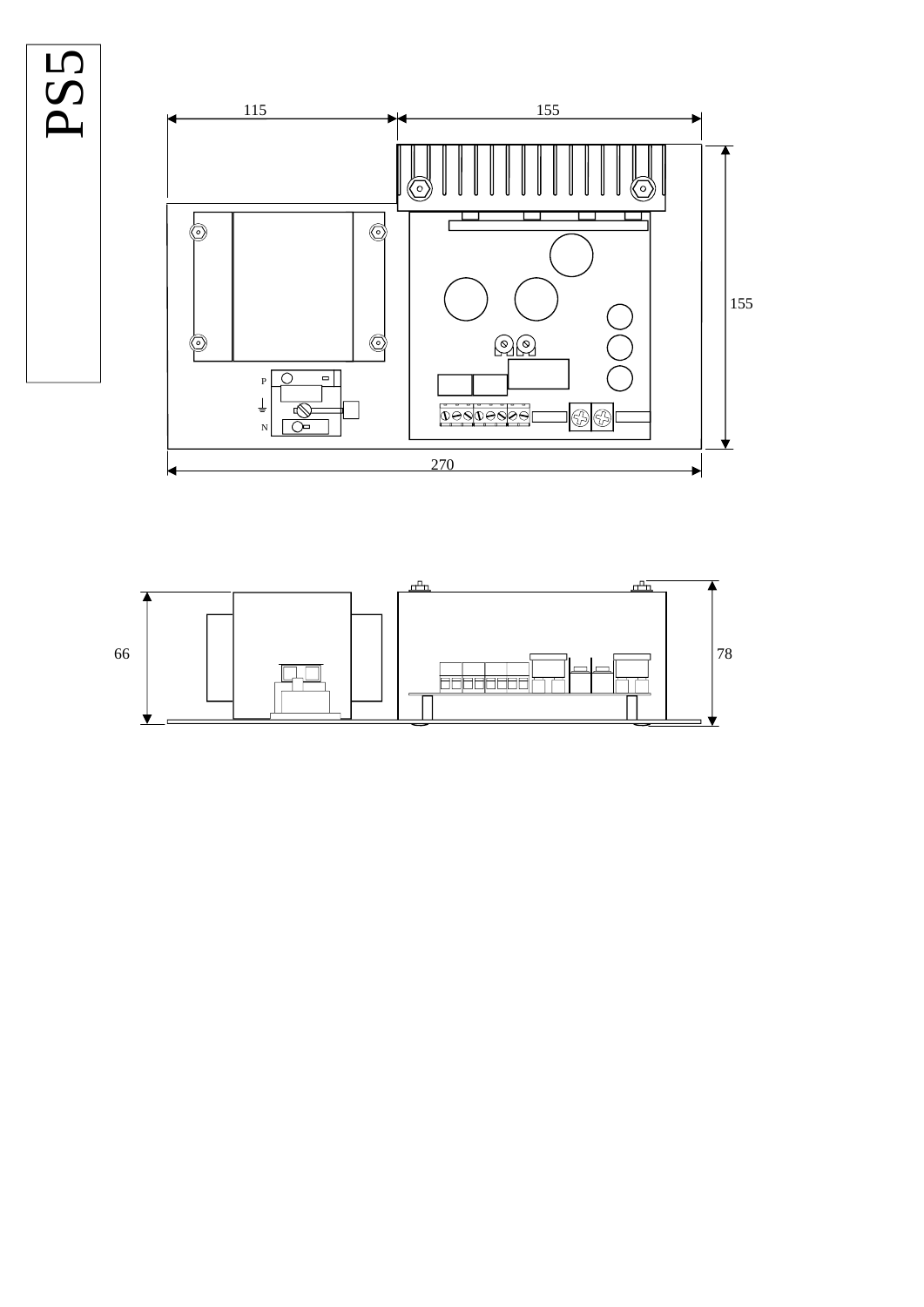